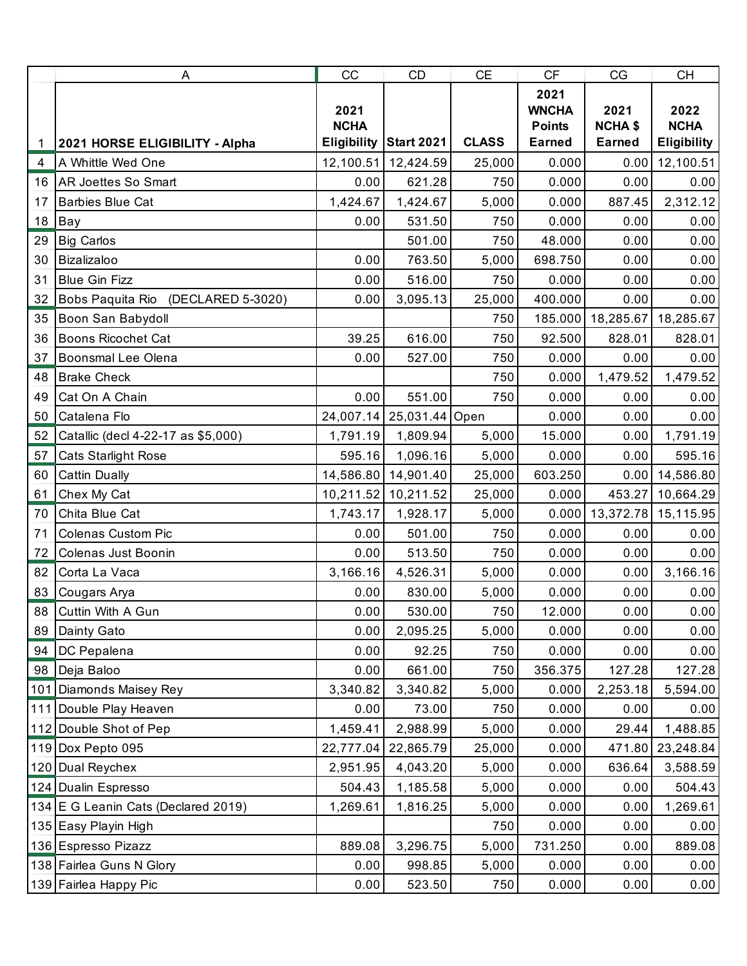|    | A                                   | CC                                        | CD                       | CE           | CF                                                     | CG                                      | <b>CH</b>                          |
|----|-------------------------------------|-------------------------------------------|--------------------------|--------------|--------------------------------------------------------|-----------------------------------------|------------------------------------|
| 1  | 2021 HORSE ELIGIBILITY - Alpha      | 2021<br><b>NCHA</b><br><b>Eligibility</b> | <b>Start 2021</b>        | <b>CLASS</b> | 2021<br><b>WNCHA</b><br><b>Points</b><br><b>Earned</b> | 2021<br><b>NCHA \$</b><br><b>Earned</b> | 2022<br><b>NCHA</b><br>Eligibility |
| 4  | A Whittle Wed One                   | 12,100.51                                 | 12,424.59                | 25,000       | 0.000                                                  | 0.00                                    | 12,100.51                          |
|    | 16   AR Joettes So Smart            | 0.00                                      | 621.28                   | 750          | 0.000                                                  | 0.00                                    | 0.00                               |
| 17 | <b>Barbies Blue Cat</b>             | 1,424.67                                  | 1,424.67                 | 5,000        | 0.000                                                  | 887.45                                  | 2,312.12                           |
| 18 | Bay                                 | 0.00                                      | 531.50                   | 750          | 0.000                                                  | 0.00                                    | 0.00                               |
| 29 | <b>Big Carlos</b>                   |                                           | 501.00                   | 750          | 48.000                                                 | 0.00                                    | 0.00                               |
| 30 | Bizalizaloo                         | 0.00                                      | 763.50                   | 5,000        | 698.750                                                | 0.00                                    | 0.00                               |
| 31 | <b>Blue Gin Fizz</b>                | 0.00                                      | 516.00                   | 750          | 0.000                                                  | 0.00                                    | 0.00                               |
| 32 | Bobs Paquita Rio (DECLARED 5-3020)  | 0.00                                      | 3,095.13                 | 25,000       | 400.000                                                | 0.00                                    | 0.00                               |
| 35 | Boon San Babydoll                   |                                           |                          | 750          |                                                        | 185.000 18,285.67                       | 18,285.67                          |
| 36 | <b>Boons Ricochet Cat</b>           | 39.25                                     | 616.00                   | 750          | 92.500                                                 | 828.01                                  | 828.01                             |
| 37 | <b>Boonsmal Lee Olena</b>           | 0.00                                      | 527.00                   | 750          | 0.000                                                  | 0.00                                    | 0.00                               |
| 48 | <b>Brake Check</b>                  |                                           |                          | 750          | 0.000                                                  | 1,479.52                                | 1,479.52                           |
| 49 | Cat On A Chain                      | 0.00                                      | 551.00                   | 750          | 0.000                                                  | 0.00                                    | 0.00                               |
| 50 | Catalena Flo                        |                                           | 24,007.14 25,031.44 Open |              | 0.000                                                  | 0.00                                    | 0.00                               |
| 52 | Catallic (decl 4-22-17 as \$5,000)  | 1,791.19                                  | 1,809.94                 | 5,000        | 15.000                                                 | 0.00                                    | 1,791.19                           |
| 57 | <b>Cats Starlight Rose</b>          | 595.16                                    | 1,096.16                 | 5,000        | 0.000                                                  | 0.00                                    | 595.16                             |
| 60 | <b>Cattin Dually</b>                |                                           | 14,586.80 14,901.40      | 25,000       | 603.250                                                | 0.00                                    | 14,586.80                          |
| 61 | Chex My Cat                         |                                           | 10,211.52 10,211.52      | 25,000       | 0.000                                                  | 453.27                                  | 10,664.29                          |
| 70 | Chita Blue Cat                      | 1,743.17                                  | 1,928.17                 | 5,000        | 0.000                                                  |                                         | 13,372.78 15,115.95                |
| 71 | <b>Colenas Custom Pic</b>           | 0.00                                      | 501.00                   | 750          | 0.000                                                  | 0.00                                    | 0.00                               |
| 72 | Colenas Just Boonin                 | 0.00                                      | 513.50                   | 750          | 0.000                                                  | 0.00                                    | 0.00                               |
| 82 | Corta La Vaca                       | 3,166.16                                  | 4,526.31                 | 5,000        | 0.000                                                  | 0.00                                    | 3,166.16                           |
| 83 | Cougars Arya                        | 0.00                                      | 830.00                   | 5,000        | 0.000                                                  | 0.00                                    | 0.00                               |
|    | 88 Cuttin With A Gun                | 0.00                                      | 530.00                   | 750          | 12.000                                                 | 0.00                                    | 0.00                               |
| 89 | Dainty Gato                         | 0.00                                      | 2,095.25                 | 5,000        | 0.000                                                  | 0.00                                    | 0.00                               |
| 94 | DC Pepalena                         | 0.00                                      | 92.25                    | 750          | 0.000                                                  | 0.00                                    | 0.00                               |
|    | 98 Deja Baloo                       | 0.00                                      | 661.00                   | 750          | 356.375                                                | 127.28                                  | 127.28                             |
|    | 101 Diamonds Maisey Rey             | 3,340.82                                  | 3,340.82                 | 5,000        | 0.000                                                  | 2,253.18                                | 5,594.00                           |
|    | 111 Double Play Heaven              | 0.00                                      | 73.00                    | 750          | 0.000                                                  | 0.00                                    | 0.00                               |
|    | 112 Double Shot of Pep              | 1,459.41                                  | 2,988.99                 | 5,000        | 0.000                                                  | 29.44                                   | 1,488.85                           |
|    | 119 Dox Pepto 095                   | 22,777.04                                 | 22,865.79                | 25,000       | 0.000                                                  | 471.80                                  | 23,248.84                          |
|    | 120 Dual Reychex                    | 2,951.95                                  | 4,043.20                 | 5,000        | 0.000                                                  | 636.64                                  | 3,588.59                           |
|    | 124 Dualin Espresso                 | 504.43                                    | 1,185.58                 | 5,000        | 0.000                                                  | 0.00                                    | 504.43                             |
|    | 134 E G Leanin Cats (Declared 2019) | 1,269.61                                  | 1,816.25                 | 5,000        | 0.000                                                  | 0.00                                    | 1,269.61                           |
|    | 135 Easy Playin High                |                                           |                          | 750          | 0.000                                                  | 0.00                                    | 0.00                               |
|    | 136 Espresso Pizazz                 | 889.08                                    | 3,296.75                 | 5,000        | 731.250                                                | 0.00                                    | 889.08                             |
|    | 138 Fairlea Guns N Glory            | 0.00                                      | 998.85                   | 5,000        | 0.000                                                  | 0.00                                    | 0.00                               |
|    | 139 Fairlea Happy Pic               | 0.00                                      | 523.50                   | 750          | 0.000                                                  | 0.00                                    | 0.00                               |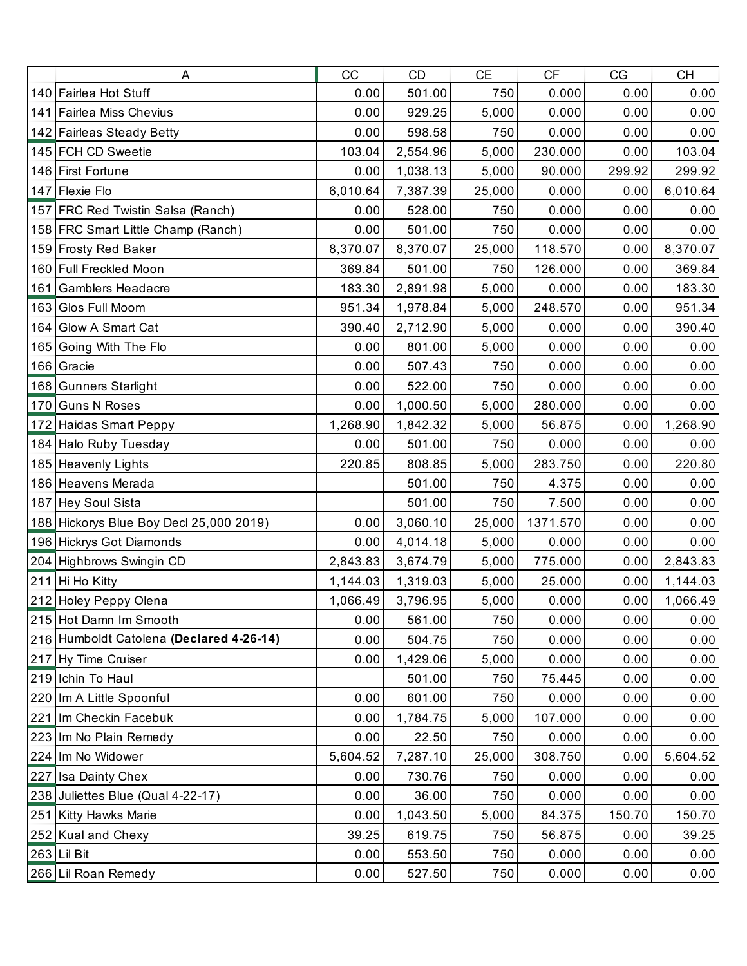|     | A                                        | CC       | <b>CD</b> | CE     | CF       | CG     | <b>CH</b> |
|-----|------------------------------------------|----------|-----------|--------|----------|--------|-----------|
|     | 140 Fairlea Hot Stuff                    | 0.00     | 501.00    | 750    | 0.000    | 0.00   | 0.00      |
|     | 141 Fairlea Miss Chevius                 | 0.00     | 929.25    | 5,000  | 0.000    | 0.00   | 0.00      |
|     | 142 Fairleas Steady Betty                | 0.00     | 598.58    | 750    | 0.000    | 0.00   | 0.00      |
|     | 145 FCH CD Sweetie                       | 103.04   | 2,554.96  | 5,000  | 230.000  | 0.00   | 103.04    |
|     | 146 First Fortune                        | 0.00     | 1,038.13  | 5,000  | 90.000   | 299.92 | 299.92    |
|     | 147 Flexie Flo                           | 6,010.64 | 7,387.39  | 25,000 | 0.000    | 0.00   | 6,010.64  |
|     | 157 FRC Red Twistin Salsa (Ranch)        | 0.00     | 528.00    | 750    | 0.000    | 0.00   | 0.00      |
|     | 158 FRC Smart Little Champ (Ranch)       | 0.00     | 501.00    | 750    | 0.000    | 0.00   | 0.00      |
|     | 159 Frosty Red Baker                     | 8,370.07 | 8,370.07  | 25,000 | 118.570  | 0.00   | 8,370.07  |
|     | 160 Full Freckled Moon                   | 369.84   | 501.00    | 750    | 126.000  | 0.00   | 369.84    |
|     | 161 Gamblers Headacre                    | 183.30   | 2,891.98  | 5,000  | 0.000    | 0.00   | 183.30    |
|     | 163 Glos Full Moom                       | 951.34   | 1,978.84  | 5,000  | 248.570  | 0.00   | 951.34    |
|     | 164 Glow A Smart Cat                     | 390.40   | 2,712.90  | 5,000  | 0.000    | 0.00   | 390.40    |
| 165 | Going With The Flo                       | 0.00     | 801.00    | 5,000  | 0.000    | 0.00   | 0.00      |
|     | 166 Gracie                               | 0.00     | 507.43    | 750    | 0.000    | 0.00   | 0.00      |
|     | 168 Gunners Starlight                    | 0.00     | 522.00    | 750    | 0.000    | 0.00   | 0.00      |
|     | 170 Guns N Roses                         | 0.00     | 1,000.50  | 5,000  | 280.000  | 0.00   | 0.00      |
|     | 172 Haidas Smart Peppy                   | 1,268.90 | 1,842.32  | 5,000  | 56.875   | 0.00   | 1,268.90  |
|     | 184 Halo Ruby Tuesday                    | 0.00     | 501.00    | 750    | 0.000    | 0.00   | 0.00      |
|     | 185 Heavenly Lights                      | 220.85   | 808.85    | 5,000  | 283.750  | 0.00   | 220.80    |
|     | 186 Heavens Merada                       |          | 501.00    | 750    | 4.375    | 0.00   | 0.00      |
|     | 187 Hey Soul Sista                       |          | 501.00    | 750    | 7.500    | 0.00   | 0.00      |
|     | 188 Hickorys Blue Boy Decl 25,000 2019)  | 0.00     | 3,060.10  | 25,000 | 1371.570 | 0.00   | 0.00      |
|     | 196 Hickrys Got Diamonds                 | 0.00     | 4,014.18  | 5,000  | 0.000    | 0.00   | 0.00      |
|     | 204 Highbrows Swingin CD                 | 2,843.83 | 3,674.79  | 5,000  | 775.000  | 0.00   | 2,843.83  |
|     | 211 Hi Ho Kitty                          | 1,144.03 | 1,319.03  | 5,000  | 25.000   | 0.00   | 1,144.03  |
|     | 212 Holey Peppy Olena                    | 1,066.49 | 3,796.95  | 5,000  | 0.000    | 0.00   | 1,066.49  |
|     | 215 Hot Damn Im Smooth                   | 0.00     | 561.00    | 750    | 0.000    | 0.00   | 0.00      |
|     | 216 Humboldt Catolena (Declared 4-26-14) | 0.00     | 504.75    | 750    | 0.000    | 0.00   | 0.00      |
|     | 217 Hy Time Cruiser                      | 0.00     | 1,429.06  | 5,000  | 0.000    | 0.00   | 0.00      |
|     | 219 Ichin To Haul                        |          | 501.00    | 750    | 75.445   | 0.00   | 0.00      |
|     | 220 Im A Little Spoonful                 | 0.00     | 601.00    | 750    | 0.000    | 0.00   | 0.00      |
|     | 221 Im Checkin Facebuk                   | 0.00     | 1,784.75  | 5,000  | 107.000  | 0.00   | 0.00      |
|     | 223 Im No Plain Remedy                   | 0.00     | 22.50     | 750    | 0.000    | 0.00   | 0.00      |
|     | 224 Im No Widower                        | 5,604.52 | 7,287.10  | 25,000 | 308.750  | 0.00   | 5,604.52  |
|     | 227 Isa Dainty Chex                      | 0.00     | 730.76    | 750    | 0.000    | 0.00   | 0.00      |
|     | 238 Juliettes Blue (Qual 4-22-17)        | 0.00     | 36.00     | 750    | 0.000    | 0.00   | 0.00      |
|     | 251 Kitty Hawks Marie                    | 0.00     | 1,043.50  | 5,000  | 84.375   | 150.70 | 150.70    |
|     | 252 Kual and Chexy                       | 39.25    | 619.75    | 750    | 56.875   | 0.00   | 39.25     |
|     | 263 Lil Bit                              | 0.00     | 553.50    | 750    | 0.000    | 0.00   | 0.00      |
|     | 266 Lil Roan Remedy                      | 0.00     | 527.50    | 750    | 0.000    | 0.00   | 0.00      |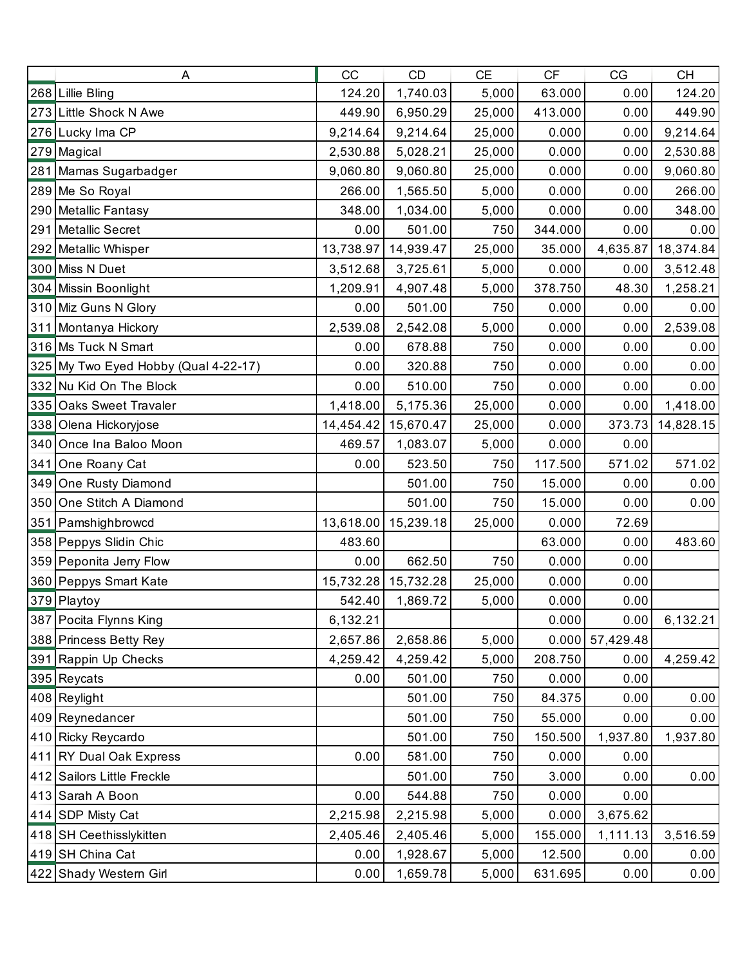| Α                                    | CC        | <b>CD</b>           | <b>CE</b> | CF      | CG                | <b>CH</b> |
|--------------------------------------|-----------|---------------------|-----------|---------|-------------------|-----------|
| 268 Lillie Bling                     | 124.20    | 1,740.03            | 5,000     | 63.000  | 0.00              | 124.20    |
| 273 Little Shock N Awe               | 449.90    | 6,950.29            | 25,000    | 413.000 | 0.00              | 449.90    |
| 276 Lucky Ima CP                     | 9,214.64  | 9,214.64            | 25,000    | 0.000   | 0.00              | 9,214.64  |
| 279 Magical                          | 2,530.88  | 5,028.21            | 25,000    | 0.000   | 0.00              | 2,530.88  |
| 281 Mamas Sugarbadger                | 9,060.80  | 9,060.80            | 25,000    | 0.000   | 0.00              | 9,060.80  |
| 289 Me So Royal                      | 266.00    | 1,565.50            | 5,000     | 0.000   | 0.00              | 266.00    |
| 290 Metallic Fantasy                 | 348.00    | 1,034.00            | 5,000     | 0.000   | 0.00              | 348.00    |
| 291 Metallic Secret                  | 0.00      | 501.00              | 750       | 344.000 | 0.00              | 0.00      |
| 292 Metallic Whisper                 | 13,738.97 | 14,939.47           | 25,000    | 35.000  | 4,635.87          | 18,374.84 |
| 300 Miss N Duet                      | 3,512.68  | 3,725.61            | 5,000     | 0.000   | 0.00              | 3,512.48  |
| 304 Missin Boonlight                 | 1,209.91  | 4,907.48            | 5,000     | 378.750 | 48.30             | 1,258.21  |
| 310 Miz Guns N Glory                 | 0.00      | 501.00              | 750       | 0.000   | 0.00              | 0.00      |
| 311 Montanya Hickory                 | 2,539.08  | 2,542.08            | 5,000     | 0.000   | 0.00              | 2,539.08  |
| 316 Ms Tuck N Smart                  | 0.00      | 678.88              | 750       | 0.000   | 0.00              | 0.00      |
| 325 My Two Eyed Hobby (Qual 4-22-17) | 0.00      | 320.88              | 750       | 0.000   | 0.00              | 0.00      |
| 332 Nu Kid On The Block              | 0.00      | 510.00              | 750       | 0.000   | 0.00              | 0.00      |
| 335 Oaks Sweet Travaler              | 1,418.00  | 5,175.36            | 25,000    | 0.000   | 0.00              | 1,418.00  |
| 338 Olena Hickoryjose                | 14,454.42 | 15,670.47           | 25,000    | 0.000   | 373.73            | 14,828.15 |
| 340 Once Ina Baloo Moon              | 469.57    | 1,083.07            | 5,000     | 0.000   | 0.00              |           |
| 341 One Roany Cat                    | 0.00      | 523.50              | 750       | 117.500 | 571.02            | 571.02    |
| 349 One Rusty Diamond                |           | 501.00              | 750       | 15.000  | 0.00              | 0.00      |
| 350 One Stitch A Diamond             |           | 501.00              | 750       | 15.000  | 0.00              | 0.00      |
| 351 Pamshighbrowcd                   |           | 13,618.00 15,239.18 | 25,000    | 0.000   | 72.69             |           |
| 358 Peppys Slidin Chic               | 483.60    |                     |           | 63.000  | 0.00              | 483.60    |
| 359 Peponita Jerry Flow              | 0.00      | 662.50              | 750       | 0.000   | 0.00              |           |
| 360 Peppys Smart Kate                |           | 15,732.28 15,732.28 | 25,000    | 0.000   | 0.00              |           |
| 379 Playtoy                          | 542.40    | 1,869.72            | 5,000     | 0.000   | 0.00              |           |
| 387 Pocita Flynns King               | 6,132.21  |                     |           | 0.000   | 0.00              | 6,132.21  |
| 388 Princess Betty Rey               | 2,657.86  | 2,658.86            | 5,000     |         | $0.000$ 57,429.48 |           |
| 391 Rappin Up Checks                 | 4,259.42  | 4,259.42            | 5,000     | 208.750 | 0.00              | 4,259.42  |
| 395 Reycats                          | 0.00      | 501.00              | 750       | 0.000   | 0.00              |           |
| 408 Reylight                         |           | 501.00              | 750       | 84.375  | 0.00              | 0.00      |
| 409 Reynedancer                      |           | 501.00              | 750       | 55.000  | 0.00              | 0.00      |
| 410 Ricky Reycardo                   |           | 501.00              | 750       | 150.500 | 1,937.80          | 1,937.80  |
| 411 RY Dual Oak Express              | 0.00      | 581.00              | 750       | 0.000   | 0.00              |           |
| 412 Sailors Little Freckle           |           | 501.00              | 750       | 3.000   | 0.00              | 0.00      |
| 413 Sarah A Boon                     | 0.00      | 544.88              | 750       | 0.000   | 0.00              |           |
| 414 SDP Misty Cat                    | 2,215.98  | 2,215.98            | 5,000     | 0.000   | 3,675.62          |           |
| 418 SH Ceethisslykitten              | 2,405.46  | 2,405.46            | 5,000     | 155.000 | 1,111.13          | 3,516.59  |
| 419 SH China Cat                     | 0.00      | 1,928.67            | 5,000     | 12.500  | 0.00              | 0.00      |
| 422 Shady Western Girl               | 0.00      | 1,659.78            | 5,000     | 631.695 | 0.00              | 0.00      |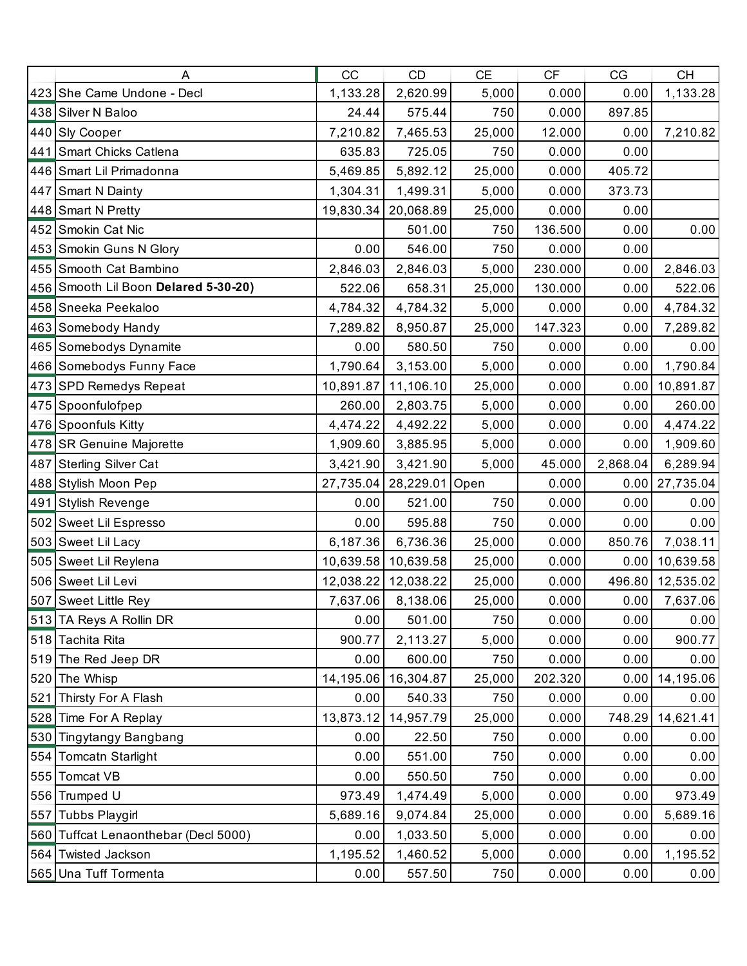|     | Α                                    | CC        | CD                       | <b>CE</b> | CF      | CG       | <b>CH</b> |
|-----|--------------------------------------|-----------|--------------------------|-----------|---------|----------|-----------|
|     | 423 She Came Undone - Decl           | 1,133.28  | 2,620.99                 | 5,000     | 0.000   | 0.00     | 1,133.28  |
|     | 438 Silver N Baloo                   | 24.44     | 575.44                   | 750       | 0.000   | 897.85   |           |
|     | 440 Sly Cooper                       | 7,210.82  | 7,465.53                 | 25,000    | 12.000  | 0.00     | 7,210.82  |
|     | 441 Smart Chicks Catlena             | 635.83    | 725.05                   | 750       | 0.000   | 0.00     |           |
|     | 446 Smart Lil Primadonna             | 5,469.85  | 5,892.12                 | 25,000    | 0.000   | 405.72   |           |
|     | 447 Smart N Dainty                   | 1,304.31  | 1,499.31                 | 5,000     | 0.000   | 373.73   |           |
|     | 448 Smart N Pretty                   | 19,830.34 | 20,068.89                | 25,000    | 0.000   | 0.00     |           |
|     | 452 Smokin Cat Nic                   |           | 501.00                   | 750       | 136.500 | 0.00     | 0.00      |
|     | 453 Smokin Guns N Glory              | 0.00      | 546.00                   | 750       | 0.000   | 0.00     |           |
|     | 455 Smooth Cat Bambino               | 2,846.03  | 2,846.03                 | 5,000     | 230.000 | 0.00     | 2,846.03  |
|     | 456 Smooth Lil Boon Delared 5-30-20) | 522.06    | 658.31                   | 25,000    | 130.000 | 0.00     | 522.06    |
|     | 458 Sneeka Peekaloo                  | 4,784.32  | 4,784.32                 | 5,000     | 0.000   | 0.00     | 4,784.32  |
|     | 463 Somebody Handy                   | 7,289.82  | 8,950.87                 | 25,000    | 147.323 | 0.00     | 7,289.82  |
|     | 465 Somebodys Dynamite               | 0.00      | 580.50                   | 750       | 0.000   | 0.00     | 0.00      |
|     | 466 Somebodys Funny Face             | 1,790.64  | 3,153.00                 | 5,000     | 0.000   | 0.00     | 1,790.84  |
|     | 473 SPD Remedys Repeat               | 10,891.87 | 11,106.10                | 25,000    | 0.000   | 0.00     | 10,891.87 |
|     | 475 Spoonfulofpep                    | 260.00    | 2,803.75                 | 5,000     | 0.000   | 0.00     | 260.00    |
|     | 476 Spoonfuls Kitty                  | 4,474.22  | 4,492.22                 | 5,000     | 0.000   | 0.00     | 4,474.22  |
|     | 478 SR Genuine Majorette             | 1,909.60  | 3,885.95                 | 5,000     | 0.000   | 0.00     | 1,909.60  |
|     | 487 Sterling Silver Cat              | 3,421.90  | 3,421.90                 | 5,000     | 45.000  | 2,868.04 | 6,289.94  |
|     | 488 Stylish Moon Pep                 |           | 27,735.04 28,229.01 Open |           | 0.000   | 0.00     | 27,735.04 |
|     | 491 Stylish Revenge                  | 0.00      | 521.00                   | 750       | 0.000   | 0.00     | 0.00      |
|     | 502 Sweet Lil Espresso               | 0.00      | 595.88                   | 750       | 0.000   | 0.00     | 0.00      |
|     | 503 Sweet Lil Lacy                   | 6,187.36  | 6,736.36                 | 25,000    | 0.000   | 850.76   | 7,038.11  |
|     | 505 Sweet Lil Reylena                | 10,639.58 | 10,639.58                | 25,000    | 0.000   | 0.00     | 10,639.58 |
|     | 506 Sweet Lil Levi                   | 12,038.22 | 12,038.22                | 25,000    | 0.000   | 496.80   | 12,535.02 |
|     | 507 Sweet Little Rey                 | 7,637.06  | 8,138.06                 | 25,000    | 0.000   | 0.00     | 7,637.06  |
|     | 513 TA Reys A Rollin DR              | 0.00      | 501.00                   | 750       | 0.000   | 0.00     | 0.00      |
|     | 518 Tachita Rita                     | 900.77    | 2,113.27                 | 5,000     | 0.000   | 0.00     | 900.77    |
|     | 519 The Red Jeep DR                  | 0.00      | 600.00                   | 750       | 0.000   | 0.00     | 0.00      |
|     | 520 The Whisp                        | 14,195.06 | 16,304.87                | 25,000    | 202.320 | 0.00     | 14,195.06 |
| 521 | Thirsty For A Flash                  | 0.00      | 540.33                   | 750       | 0.000   | 0.00     | 0.00      |
|     | 528 Time For A Replay                | 13,873.12 | 14,957.79                | 25,000    | 0.000   | 748.29   | 14,621.41 |
|     | 530 Tingytangy Bangbang              | 0.00      | 22.50                    | 750       | 0.000   | 0.00     | 0.00      |
| 554 | <b>Tomcatn Starlight</b>             | 0.00      | 551.00                   | 750       | 0.000   | 0.00     | 0.00      |
|     | 555 Tomcat VB                        | 0.00      | 550.50                   | 750       | 0.000   | 0.00     | 0.00      |
|     | 556 Trumped U                        | 973.49    | 1,474.49                 | 5,000     | 0.000   | 0.00     | 973.49    |
| 557 | <b>Tubbs Playgirl</b>                | 5,689.16  | 9,074.84                 | 25,000    | 0.000   | 0.00     | 5,689.16  |
|     | 560 Tuffcat Lenaonthebar (Decl 5000) | 0.00      | 1,033.50                 | 5,000     | 0.000   | 0.00     | 0.00      |
|     | 564 Twisted Jackson                  | 1,195.52  | 1,460.52                 | 5,000     | 0.000   | 0.00     | 1,195.52  |
|     | 565 Una Tuff Tormenta                | 0.00      | 557.50                   | 750       | 0.000   | 0.00     | 0.00      |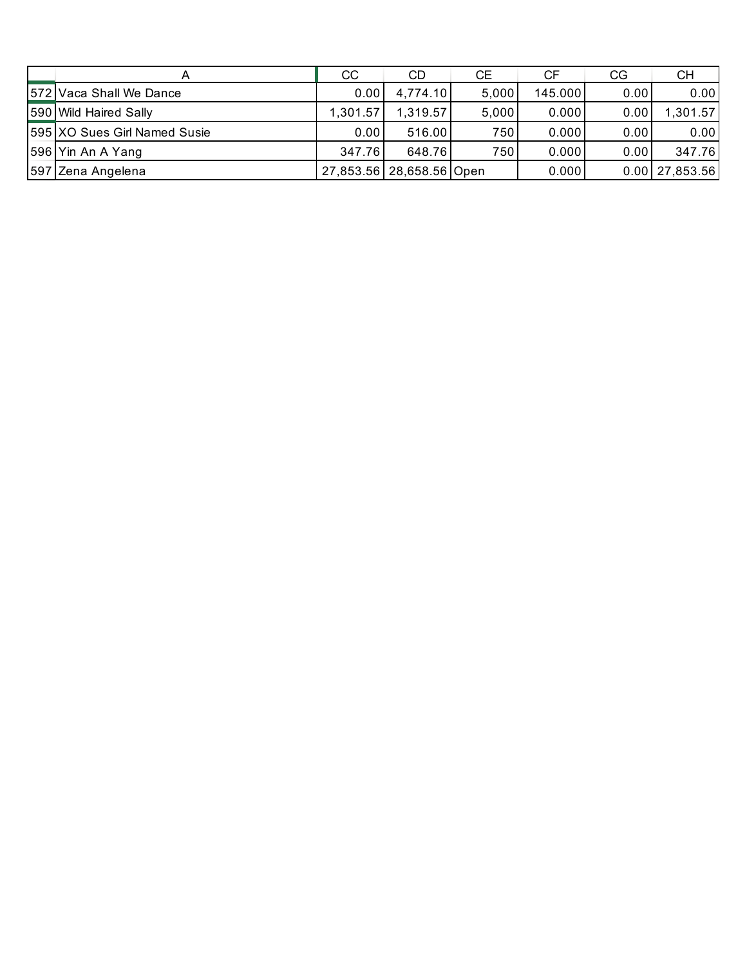|                              | CC       | CD                       | CE    | СF      | CG   | CH                 |
|------------------------------|----------|--------------------------|-------|---------|------|--------------------|
| 572 Vaca Shall We Dance      | 0.00     | 4,774.10                 | 5,000 | 145.000 | 0.00 | 0.00               |
| 590 Wild Haired Sally        | 1,301.57 | 1,319.57                 | 5,000 | 0.000   | 0.00 | 1,301.57           |
| 595 XO Sues Girl Named Susie | 0.00     | 516.00                   | 750   | 0.000   | 0.00 | 0.00               |
| 596 Yin An A Yang            | 347.76   | 648.76                   | 750   | 0.000   | 0.00 | 347.76             |
| 597 Zena Angelena            |          | 27,853.56 28,658.56 Open |       | 0.000   |      | $0.00$   27,853.56 |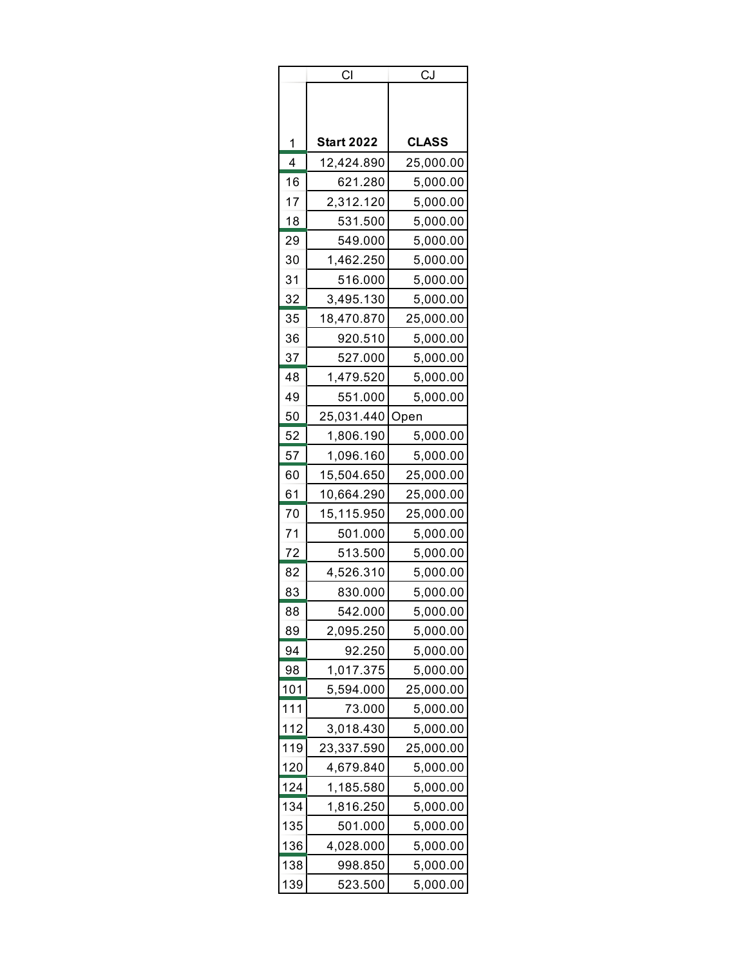| <b>Start 2022</b><br><b>CLASS</b><br>1<br>4<br>12,424.890<br>25,000.00<br>16<br>621.280<br>5,000.00<br>17<br>2,312.120<br>5,000.00<br>18<br>531.500<br>5,000.00<br>29<br>549.000<br>5,000.00<br>30<br>1,462.250<br>5,000.00<br>31<br>516.000<br>5,000.00<br>32<br>3,495.130<br>5,000.00 | СI | <u>CJ</u> |
|-----------------------------------------------------------------------------------------------------------------------------------------------------------------------------------------------------------------------------------------------------------------------------------------|----|-----------|
|                                                                                                                                                                                                                                                                                         |    |           |
|                                                                                                                                                                                                                                                                                         |    |           |
|                                                                                                                                                                                                                                                                                         |    |           |
|                                                                                                                                                                                                                                                                                         |    |           |
|                                                                                                                                                                                                                                                                                         |    |           |
|                                                                                                                                                                                                                                                                                         |    |           |
|                                                                                                                                                                                                                                                                                         |    |           |
|                                                                                                                                                                                                                                                                                         |    |           |
|                                                                                                                                                                                                                                                                                         |    |           |
|                                                                                                                                                                                                                                                                                         |    |           |
| 35<br>18,470.870<br>25,000.00                                                                                                                                                                                                                                                           |    |           |
| 36<br>920.510<br>5,000.00                                                                                                                                                                                                                                                               |    |           |
| 37<br>527.000<br>5,000.00                                                                                                                                                                                                                                                               |    |           |
| 48<br>1,479.520<br>5,000.00                                                                                                                                                                                                                                                             |    |           |
| 49<br>551.000<br>5,000.00                                                                                                                                                                                                                                                               |    |           |
| 50<br>25,031.440<br>Open                                                                                                                                                                                                                                                                |    |           |
| 52<br>1,806.190<br>5,000.00                                                                                                                                                                                                                                                             |    |           |
| 57<br>1,096.160<br>5,000.00                                                                                                                                                                                                                                                             |    |           |
| 60<br>15,504.650<br>25,000.00                                                                                                                                                                                                                                                           |    |           |
| 61<br>10,664.290<br>25,000.00                                                                                                                                                                                                                                                           |    |           |
| 70<br>15,115.950<br>25,000.00                                                                                                                                                                                                                                                           |    |           |
| 71<br>501.000<br>5,000.00                                                                                                                                                                                                                                                               |    |           |
| 72<br>513.500<br>5,000.00                                                                                                                                                                                                                                                               |    |           |
| 4,526.310<br>82<br>5,000.00                                                                                                                                                                                                                                                             |    |           |
| 83<br>830.000<br>5,000.00                                                                                                                                                                                                                                                               |    |           |
| 88<br>542.000<br>5,000.00                                                                                                                                                                                                                                                               |    |           |
| 89<br>2,095.250<br>5,000.00                                                                                                                                                                                                                                                             |    |           |
| 94<br>92.250<br>5,000.00                                                                                                                                                                                                                                                                |    |           |
| 98<br>1,017.375<br>5,000.00                                                                                                                                                                                                                                                             |    |           |
| 5,594.000<br>101<br>25,000.00                                                                                                                                                                                                                                                           |    |           |
| 111<br>73.000<br>5,000.00                                                                                                                                                                                                                                                               |    |           |
| 112<br>3,018.430<br>5,000.00                                                                                                                                                                                                                                                            |    |           |
| 119<br>23,337.590<br>25,000.00                                                                                                                                                                                                                                                          |    |           |
| 120<br>4,679.840<br>5,000.00                                                                                                                                                                                                                                                            |    |           |
| 124<br>1,185.580<br>5,000.00                                                                                                                                                                                                                                                            |    |           |
| 134<br>1,816.250<br>5,000.00                                                                                                                                                                                                                                                            |    |           |
| 135<br>501.000<br>5,000.00                                                                                                                                                                                                                                                              |    |           |
| 136<br>4,028.000<br>5,000.00                                                                                                                                                                                                                                                            |    |           |
| 138<br>998.850<br>5,000.00                                                                                                                                                                                                                                                              |    |           |
| 139<br>523.500<br>5,000.00                                                                                                                                                                                                                                                              |    |           |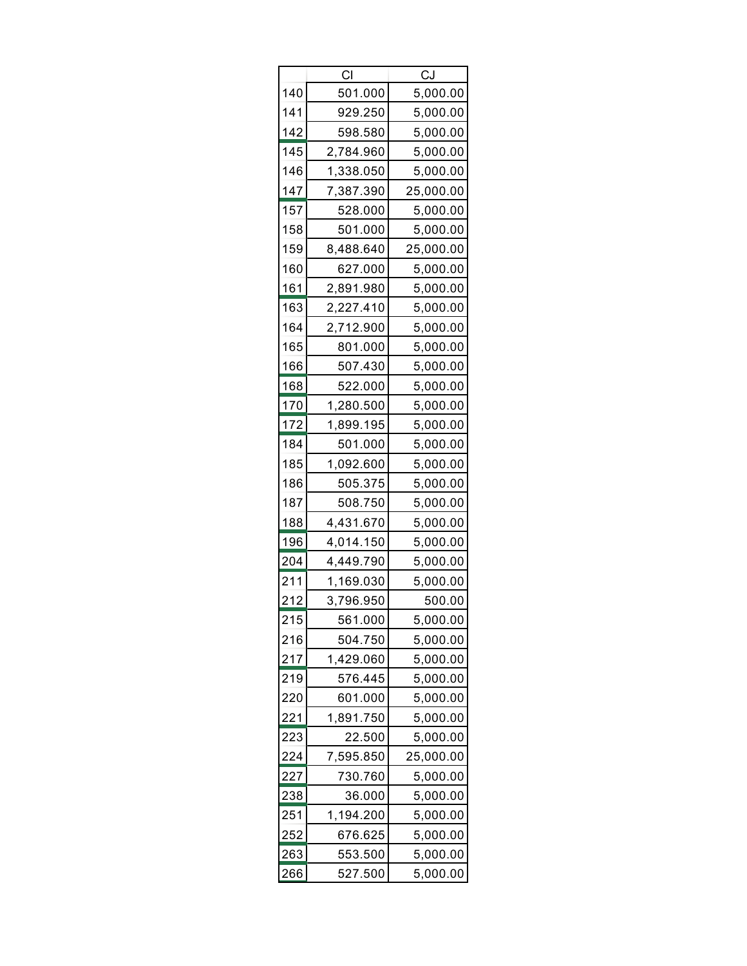| СI  |           | CJ        |  |  |
|-----|-----------|-----------|--|--|
| 140 | 501.000   | 5,000.00  |  |  |
| 141 | 929.250   | 5,000.00  |  |  |
| 142 | 598.580   | 5,000.00  |  |  |
| 145 | 2,784.960 | 5,000.00  |  |  |
| 146 | 1,338.050 | 5,000.00  |  |  |
| 147 | 7,387.390 | 25,000.00 |  |  |
| 157 | 528.000   | 5,000.00  |  |  |
| 158 | 501.000   | 5,000.00  |  |  |
| 159 | 8,488.640 | 25,000.00 |  |  |
| 160 | 627.000   | 5,000.00  |  |  |
| 161 | 2,891.980 | 5,000.00  |  |  |
| 163 | 2,227.410 | 5,000.00  |  |  |
| 164 | 2,712.900 | 5,000.00  |  |  |
| 165 | 801.000   | 5,000.00  |  |  |
| 166 | 507.430   | 5,000.00  |  |  |
| 168 | 522.000   | 5,000.00  |  |  |
| 170 | 1,280.500 | 5,000.00  |  |  |
| 172 | 1,899.195 | 5,000.00  |  |  |
| 184 | 501.000   | 5,000.00  |  |  |
| 185 | 1,092.600 | 5,000.00  |  |  |
| 186 | 505.375   | 5,000.00  |  |  |
| 187 | 508.750   | 5,000.00  |  |  |
| 188 | 4,431.670 | 5,000.00  |  |  |
| 196 | 4,014.150 | 5,000.00  |  |  |
| 204 | 4,449.790 | 5,000.00  |  |  |
| 211 | 1,169.030 | 5,000.00  |  |  |
| 212 | 3,796.950 | 500.00    |  |  |
| 215 | 561.000   | 5,000.00  |  |  |
| 216 | 504.750   | 5,000.00  |  |  |
| 217 | 1,429.060 | 5,000.00  |  |  |
| 219 | 576.445   | 5,000.00  |  |  |
| 220 | 601.000   | 5,000.00  |  |  |
| 221 | 1,891.750 | 5,000.00  |  |  |
| 223 | 22.500    | 5,000.00  |  |  |
| 224 | 7,595.850 | 25,000.00 |  |  |
| 227 | 730.760   | 5,000.00  |  |  |
| 238 | 36.000    | 5,000.00  |  |  |
| 251 | 1,194.200 | 5,000.00  |  |  |
| 252 | 676.625   | 5,000.00  |  |  |
| 263 | 553.500   | 5,000.00  |  |  |
| 266 | 527.500   | 5,000.00  |  |  |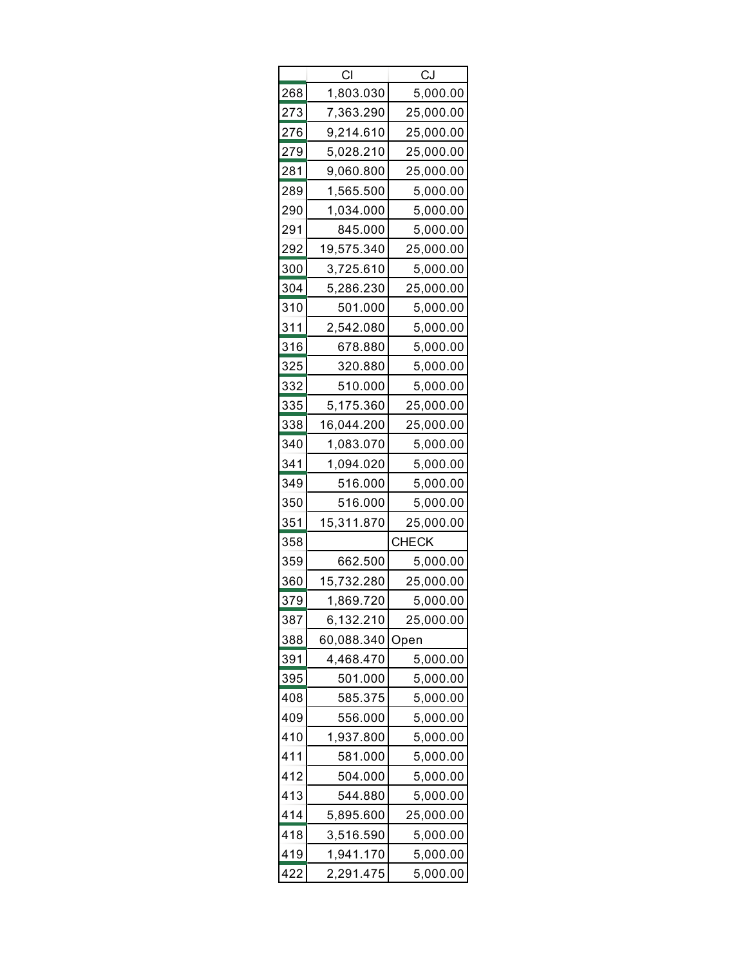|     | СI         | CJ        |
|-----|------------|-----------|
| 268 | 1,803.030  | 5,000.00  |
| 273 | 7,363.290  | 25,000.00 |
| 276 | 9,214.610  | 25,000.00 |
| 279 | 5,028.210  | 25,000.00 |
| 281 | 9,060.800  | 25,000.00 |
| 289 | 1,565.500  | 5,000.00  |
| 290 | 1,034.000  | 5,000.00  |
| 291 | 845.000    | 5,000.00  |
| 292 | 19,575.340 | 25,000.00 |
| 300 | 3,725.610  | 5,000.00  |
| 304 | 5,286.230  | 25,000.00 |
| 310 | 501.000    | 5,000.00  |
| 311 | 2,542.080  | 5,000.00  |
| 316 | 678.880    | 5,000.00  |
| 325 | 320.880    | 5,000.00  |
| 332 | 510.000    | 5,000.00  |
| 335 | 5,175.360  | 25,000.00 |
| 338 | 16,044.200 | 25,000.00 |
| 340 | 1,083.070  | 5,000.00  |
| 341 | 1,094.020  | 5,000.00  |
| 349 | 516.000    | 5,000.00  |
| 350 | 516.000    | 5,000.00  |
| 351 | 15,311.870 | 25,000.00 |
| 358 |            | CHECK     |
| 359 | 662.500    | 5,000.00  |
| 360 | 15,732.280 | 25,000.00 |
| 379 | 1,869.720  | 5,000.00  |
| 387 | 6,132.210  | 25,000.00 |
| 388 | 60,088.340 | Open      |
| 391 | 4,468.470  | 5,000.00  |
| 395 | 501.000    | 5,000.00  |
| 408 | 585.375    | 5,000.00  |
| 409 | 556.000    | 5,000.00  |
| 410 | 1,937.800  | 5,000.00  |
| 411 | 581.000    | 5,000.00  |
| 412 | 504.000    | 5,000.00  |
| 413 | 544.880    | 5,000.00  |
| 414 | 5,895.600  | 25,000.00 |
| 418 | 3,516.590  | 5,000.00  |
| 419 | 1,941.170  | 5,000.00  |
| 422 | 2,291.475  | 5,000.00  |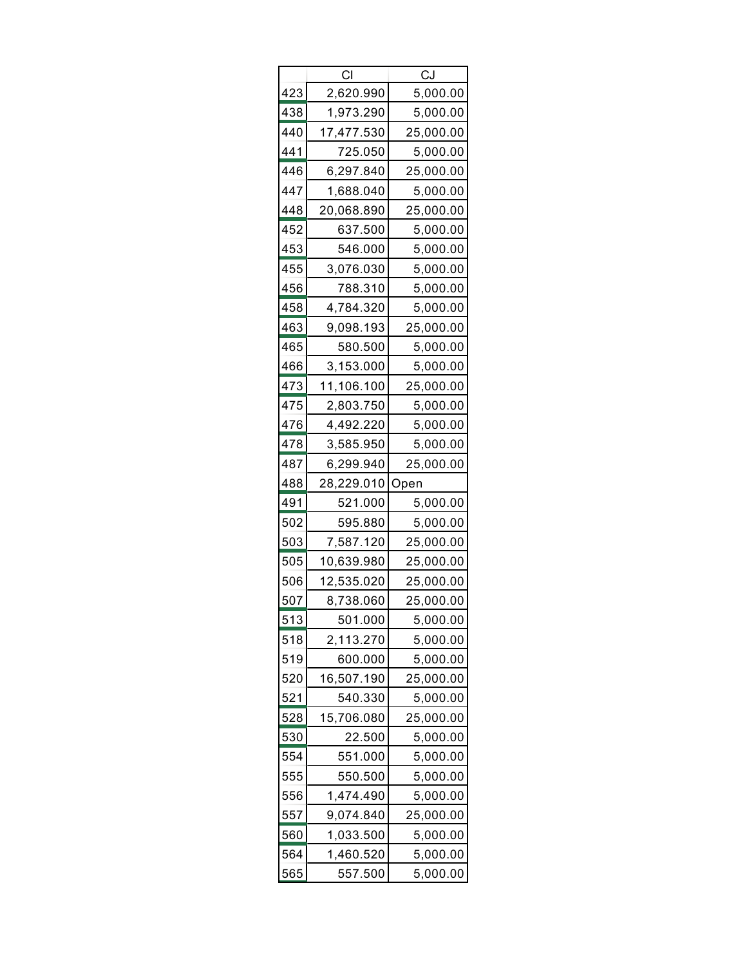| СI  |            | CJ        |  |  |  |
|-----|------------|-----------|--|--|--|
| 423 | 2,620.990  | 5,000.00  |  |  |  |
| 438 | 1,973.290  | 5,000.00  |  |  |  |
| 440 | 17,477.530 | 25,000.00 |  |  |  |
| 441 | 725.050    | 5,000.00  |  |  |  |
| 446 | 6,297.840  | 25,000.00 |  |  |  |
| 447 | 1,688.040  | 5,000.00  |  |  |  |
| 448 | 20,068.890 | 25,000.00 |  |  |  |
| 452 | 637.500    | 5,000.00  |  |  |  |
| 453 | 546.000    | 5,000.00  |  |  |  |
| 455 | 3,076.030  | 5,000.00  |  |  |  |
| 456 | 788.310    | 5,000.00  |  |  |  |
| 458 | 4,784.320  | 5,000.00  |  |  |  |
| 463 | 9,098.193  | 25,000.00 |  |  |  |
| 465 | 580.500    | 5,000.00  |  |  |  |
| 466 | 3,153.000  | 5,000.00  |  |  |  |
| 473 | 11,106.100 | 25,000.00 |  |  |  |
| 475 | 2,803.750  | 5,000.00  |  |  |  |
| 476 | 4,492.220  | 5,000.00  |  |  |  |
| 478 | 3,585.950  | 5,000.00  |  |  |  |
| 487 | 6,299.940  | 25,000.00 |  |  |  |
|     |            |           |  |  |  |
| 488 | 28,229.010 | Open      |  |  |  |
| 491 | 521.000    | 5,000.00  |  |  |  |
| 502 | 595.880    | 5,000.00  |  |  |  |
| 503 | 7,587.120  | 25,000.00 |  |  |  |
| 505 | 10,639.980 | 25,000.00 |  |  |  |
| 506 | 12,535.020 | 25,000.00 |  |  |  |
| 507 | 8,738.060  | 25,000.00 |  |  |  |
| 513 | 501.000    | 5,000.00  |  |  |  |
| 518 | 2,113.270  | 5,000.00  |  |  |  |
| 519 | 600.000    | 5,000.00  |  |  |  |
| 520 | 16,507.190 | 25,000.00 |  |  |  |
| 521 | 540.330    | 5,000.00  |  |  |  |
| 528 | 15,706.080 | 25,000.00 |  |  |  |
| 530 | 22.500     | 5,000.00  |  |  |  |
| 554 | 551.000    | 5,000.00  |  |  |  |
| 555 | 550.500    | 5,000.00  |  |  |  |
| 556 | 1,474.490  | 5,000.00  |  |  |  |
| 557 | 9,074.840  | 25,000.00 |  |  |  |
| 560 | 1,033.500  | 5,000.00  |  |  |  |
| 564 | 1,460.520  | 5,000.00  |  |  |  |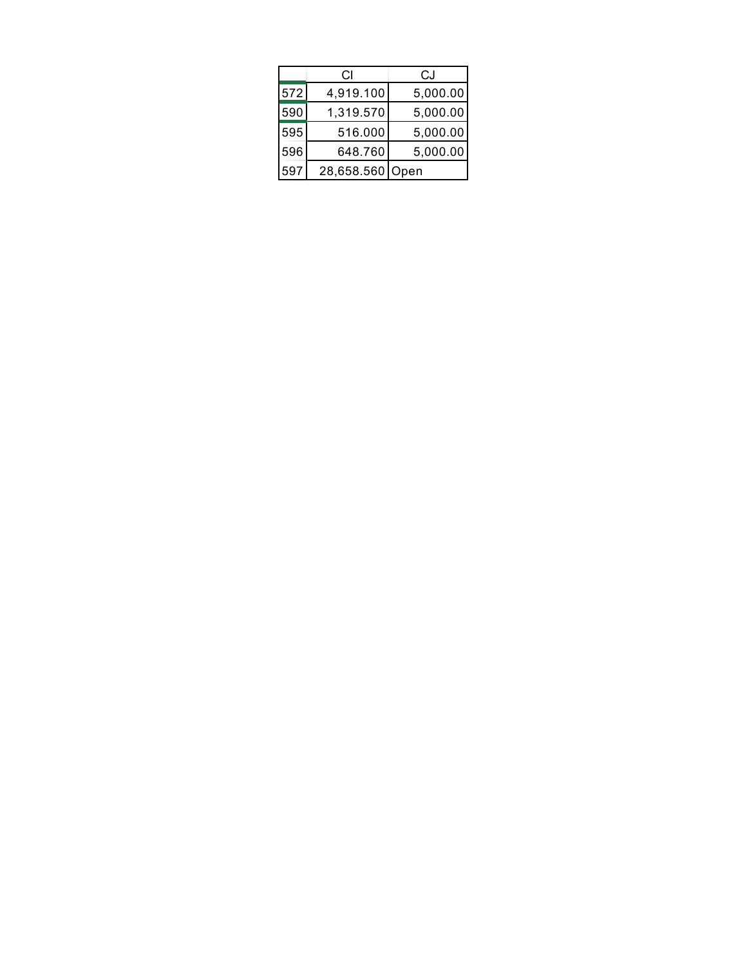|     | СI         | CJ       |
|-----|------------|----------|
| 572 | 4,919.100  | 5,000.00 |
| 590 | 1,319.570  | 5,000.00 |
| 595 | 516.000    | 5,000.00 |
| 596 | 648.760    | 5,000.00 |
| 597 | 28,658.560 | Open     |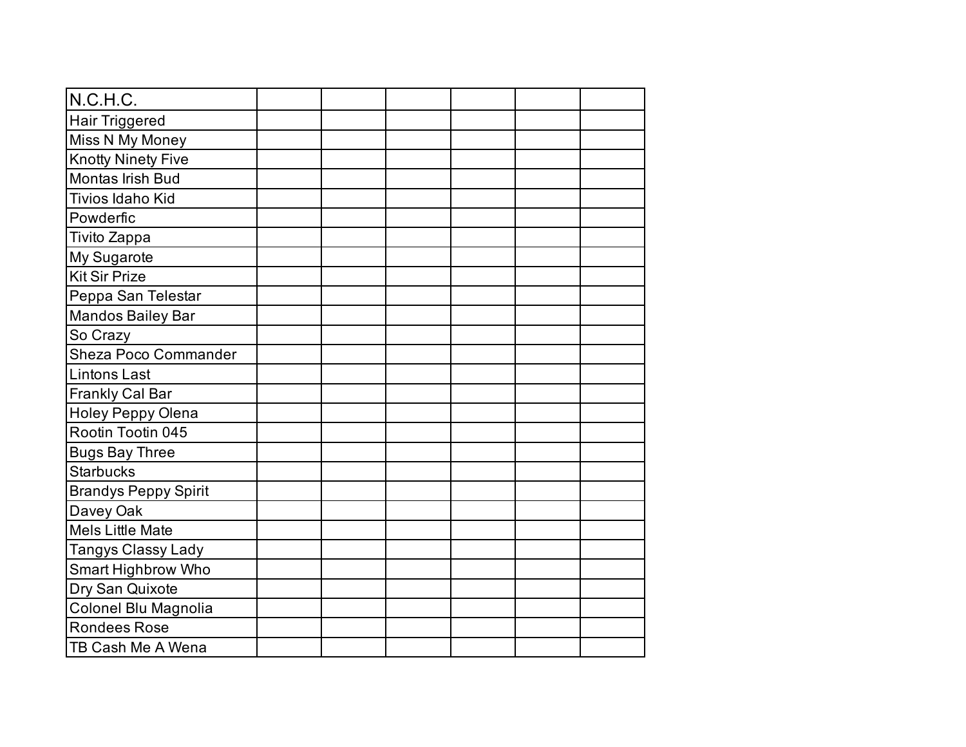| N.C.H.C.                    |  |  |  |
|-----------------------------|--|--|--|
| <b>Hair Triggered</b>       |  |  |  |
| Miss N My Money             |  |  |  |
| <b>Knotty Ninety Five</b>   |  |  |  |
| Montas Irish Bud            |  |  |  |
| <b>Tivios Idaho Kid</b>     |  |  |  |
| Powderfic                   |  |  |  |
| Tivito Zappa                |  |  |  |
| My Sugarote                 |  |  |  |
| <b>Kit Sir Prize</b>        |  |  |  |
| Peppa San Telestar          |  |  |  |
| Mandos Bailey Bar           |  |  |  |
| So Crazy                    |  |  |  |
| <b>Sheza Poco Commander</b> |  |  |  |
| <b>Lintons Last</b>         |  |  |  |
| <b>Frankly Cal Bar</b>      |  |  |  |
| <b>Holey Peppy Olena</b>    |  |  |  |
| Rootin Tootin 045           |  |  |  |
| <b>Bugs Bay Three</b>       |  |  |  |
| <b>Starbucks</b>            |  |  |  |
| <b>Brandys Peppy Spirit</b> |  |  |  |
| Davey Oak                   |  |  |  |
| <b>Mels Little Mate</b>     |  |  |  |
| Tangys Classy Lady          |  |  |  |
| Smart Highbrow Who          |  |  |  |
| Dry San Quixote             |  |  |  |
| Colonel Blu Magnolia        |  |  |  |
| <b>Rondees Rose</b>         |  |  |  |
| TB Cash Me A Wena           |  |  |  |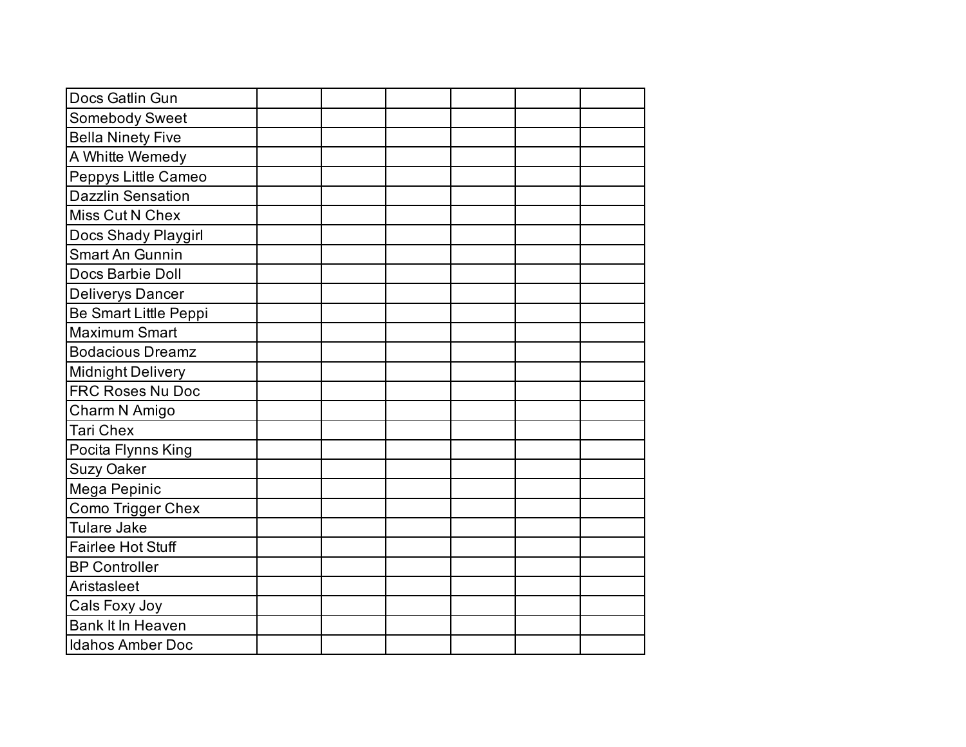| Docs Gatlin Gun          |  |  |  |
|--------------------------|--|--|--|
| Somebody Sweet           |  |  |  |
| <b>Bella Ninety Five</b> |  |  |  |
| A Whitte Wemedy          |  |  |  |
| Peppys Little Cameo      |  |  |  |
| <b>Dazzlin Sensation</b> |  |  |  |
| Miss Cut N Chex          |  |  |  |
| Docs Shady Playgirl      |  |  |  |
| <b>Smart An Gunnin</b>   |  |  |  |
| Docs Barbie Doll         |  |  |  |
| <b>Deliverys Dancer</b>  |  |  |  |
| Be Smart Little Peppi    |  |  |  |
| <b>Maximum Smart</b>     |  |  |  |
| <b>Bodacious Dreamz</b>  |  |  |  |
| <b>Midnight Delivery</b> |  |  |  |
| FRC Roses Nu Doc         |  |  |  |
| Charm N Amigo            |  |  |  |
| <b>Tari Chex</b>         |  |  |  |
| Pocita Flynns King       |  |  |  |
| <b>Suzy Oaker</b>        |  |  |  |
| Mega Pepinic             |  |  |  |
| <b>Como Trigger Chex</b> |  |  |  |
| Tulare Jake              |  |  |  |
| <b>Fairlee Hot Stuff</b> |  |  |  |
| <b>BP Controller</b>     |  |  |  |
| Aristasleet              |  |  |  |
| Cals Foxy Joy            |  |  |  |
| <b>Bank It In Heaven</b> |  |  |  |
| <b>Idahos Amber Doc</b>  |  |  |  |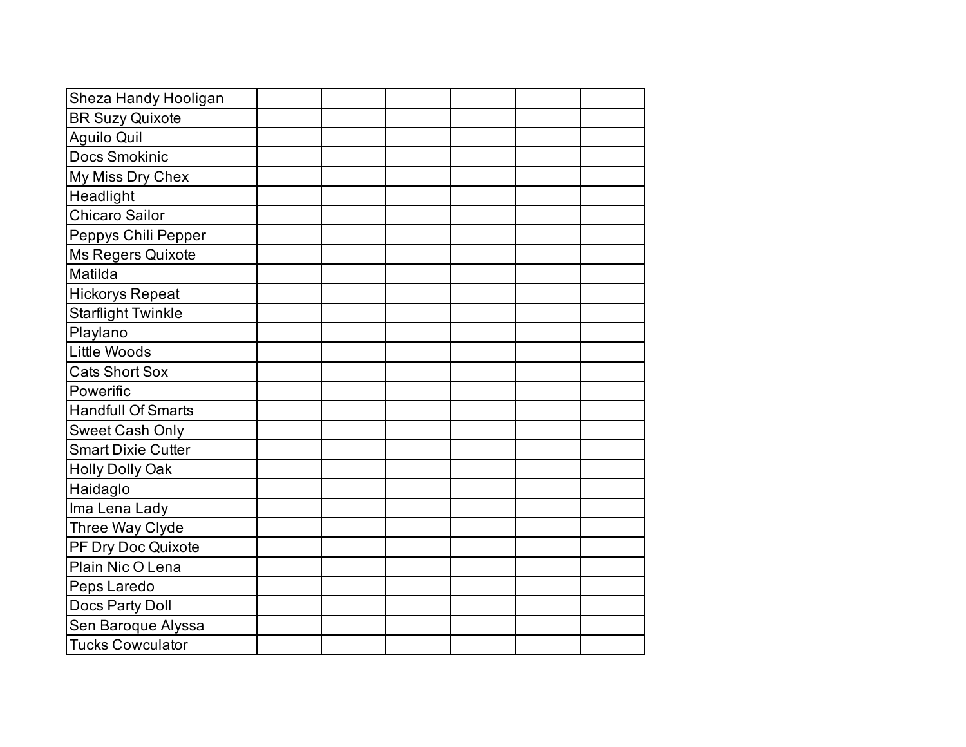| Sheza Handy Hooligan      |  |  |  |
|---------------------------|--|--|--|
| <b>BR Suzy Quixote</b>    |  |  |  |
| <b>Aguilo Quil</b>        |  |  |  |
| <b>Docs Smokinic</b>      |  |  |  |
| My Miss Dry Chex          |  |  |  |
| Headlight                 |  |  |  |
| Chicaro Sailor            |  |  |  |
| Peppys Chili Pepper       |  |  |  |
| Ms Regers Quixote         |  |  |  |
| Matilda                   |  |  |  |
| <b>Hickorys Repeat</b>    |  |  |  |
| <b>Starflight Twinkle</b> |  |  |  |
| Playlano                  |  |  |  |
| <b>Little Woods</b>       |  |  |  |
| <b>Cats Short Sox</b>     |  |  |  |
| Powerific                 |  |  |  |
| <b>Handfull Of Smarts</b> |  |  |  |
| Sweet Cash Only           |  |  |  |
| <b>Smart Dixie Cutter</b> |  |  |  |
| <b>Holly Dolly Oak</b>    |  |  |  |
| Haidaglo                  |  |  |  |
| Ima Lena Lady             |  |  |  |
| Three Way Clyde           |  |  |  |
| PF Dry Doc Quixote        |  |  |  |
| Plain Nic O Lena          |  |  |  |
| Peps Laredo               |  |  |  |
| Docs Party Doll           |  |  |  |
| Sen Baroque Alyssa        |  |  |  |
| <b>Tucks Cowculator</b>   |  |  |  |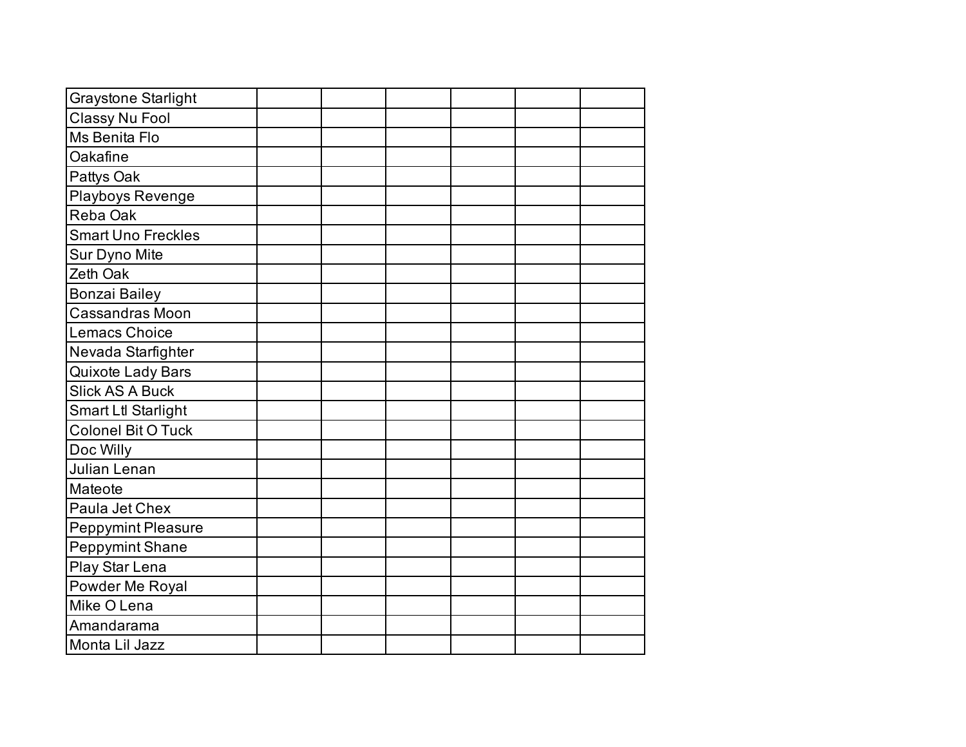| <b>Graystone Starlight</b> |  |  |  |
|----------------------------|--|--|--|
| Classy Nu Fool             |  |  |  |
| Ms Benita Flo              |  |  |  |
| Oakafine                   |  |  |  |
| Pattys Oak                 |  |  |  |
| Playboys Revenge           |  |  |  |
| Reba Oak                   |  |  |  |
| <b>Smart Uno Freckles</b>  |  |  |  |
| Sur Dyno Mite              |  |  |  |
| Zeth Oak                   |  |  |  |
| <b>Bonzai Bailey</b>       |  |  |  |
| Cassandras Moon            |  |  |  |
| <b>Lemacs Choice</b>       |  |  |  |
| Nevada Starfighter         |  |  |  |
| <b>Quixote Lady Bars</b>   |  |  |  |
| <b>Slick AS A Buck</b>     |  |  |  |
| <b>Smart Ltl Starlight</b> |  |  |  |
| <b>Colonel Bit O Tuck</b>  |  |  |  |
| Doc Willy                  |  |  |  |
| Julian Lenan               |  |  |  |
| Mateote                    |  |  |  |
| Paula Jet Chex             |  |  |  |
| <b>Peppymint Pleasure</b>  |  |  |  |
| <b>Peppymint Shane</b>     |  |  |  |
| Play Star Lena             |  |  |  |
| Powder Me Royal            |  |  |  |
| Mike O Lena                |  |  |  |
| Amandarama                 |  |  |  |
| Monta Lil Jazz             |  |  |  |